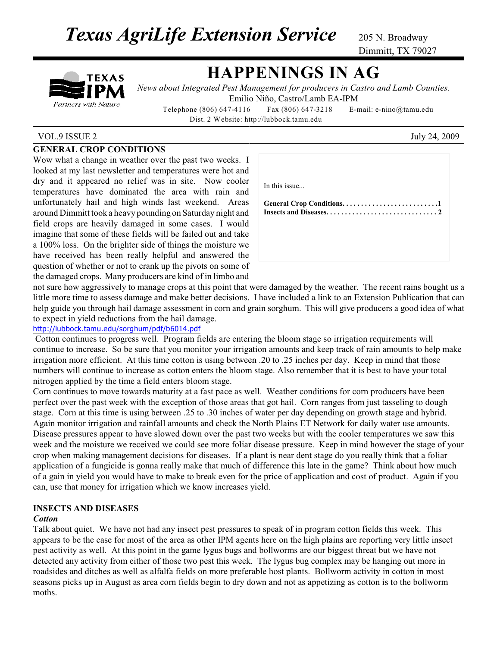**Texas AgriLife Extension Service** 205 N. Broadway

Dimmitt, TX 79027

# TEXAS Partners with Nature

## **HAPPENINGS IN AG**

*News about Integrated Pest Management for producers in Castro and Lamb Counties.* Emilio Niño, Castro/Lamb EA-IPM

 Telephone (806) 647-4116 Fax (806) 647-3218 E-mail: e-nino@tamu.edu Dist. 2 Website: http://lubbock.tamu.edu

## VOL.9 ISSUE 2 July 24, 2009

## **GENERAL CROP CONDITIONS**

Wow what a change in weather over the past two weeks. I looked at my last newsletter and temperatures were hot and dry and it appeared no relief was in site. Now cooler temperatures have dominated the area with rain and unfortunately hail and high winds last weekend. Areas around Dimmitt took a heavy pounding on Saturday night and field crops are heavily damaged in some cases. I would imagine that some of these fields will be failed out and take a 100% loss. On the brighter side of things the moisture we have received has been really helpful and answered the question of whether or not to crank up the pivots on some of the damaged crops. Many producers are kind of in limbo and

| In this issue |  |
|---------------|--|
|               |  |
|               |  |
|               |  |

not sure how aggressively to manage crops at this point that were damaged by the weather. The recent rains bought us a little more time to assess damage and make better decisions. I have included a link to an Extension Publication that can help guide you through hail damage assessment in corn and grain sorghum. This will give producers a good idea of what to expect in yield reductions from the hail damage.

#### http://lubbock.tamu.edu/sorghum/pdf/b6014.pdf

 Cotton continues to progress well. Program fields are entering the bloom stage so irrigation requirements will continue to increase. So be sure that you monitor your irrigation amounts and keep track of rain amounts to help make irrigation more efficient. At this time cotton is using between .20 to .25 inches per day. Keep in mind that those numbers will continue to increase as cotton enters the bloom stage. Also remember that it is best to have your total nitrogen applied by the time a field enters bloom stage.

Corn continues to move towards maturity at a fast pace as well. Weather conditions for corn producers have been perfect over the past week with the exception of those areas that got hail. Corn ranges from just tasseling to dough stage. Corn at this time is using between .25 to .30 inches of water per day depending on growth stage and hybrid. Again monitor irrigation and rainfall amounts and check the North Plains ET Network for daily water use amounts. Disease pressures appear to have slowed down over the past two weeks but with the cooler temperatures we saw this week and the moisture we received we could see more foliar disease pressure. Keep in mind however the stage of your crop when making management decisions for diseases. If a plant is near dent stage do you really think that a foliar application of a fungicide is gonna really make that much of difference this late in the game? Think about how much of a gain in yield you would have to make to break even for the price of application and cost of product. Again if you can, use that money for irrigation which we know increases yield.

## **INSECTS AND DISEASES**

#### *Cotton*

Talk about quiet. We have not had any insect pest pressures to speak of in program cotton fields this week. This appears to be the case for most of the area as other IPM agents here on the high plains are reporting very little insect pest activity as well. At this point in the game lygus bugs and bollworms are our biggest threat but we have not detected any activity from either of those two pest this week. The lygus bug complex may be hanging out more in roadsides and ditches as well as alfalfa fields on more preferable host plants. Bollworm activity in cotton in most seasons picks up in August as area corn fields begin to dry down and not as appetizing as cotton is to the bollworm moths.